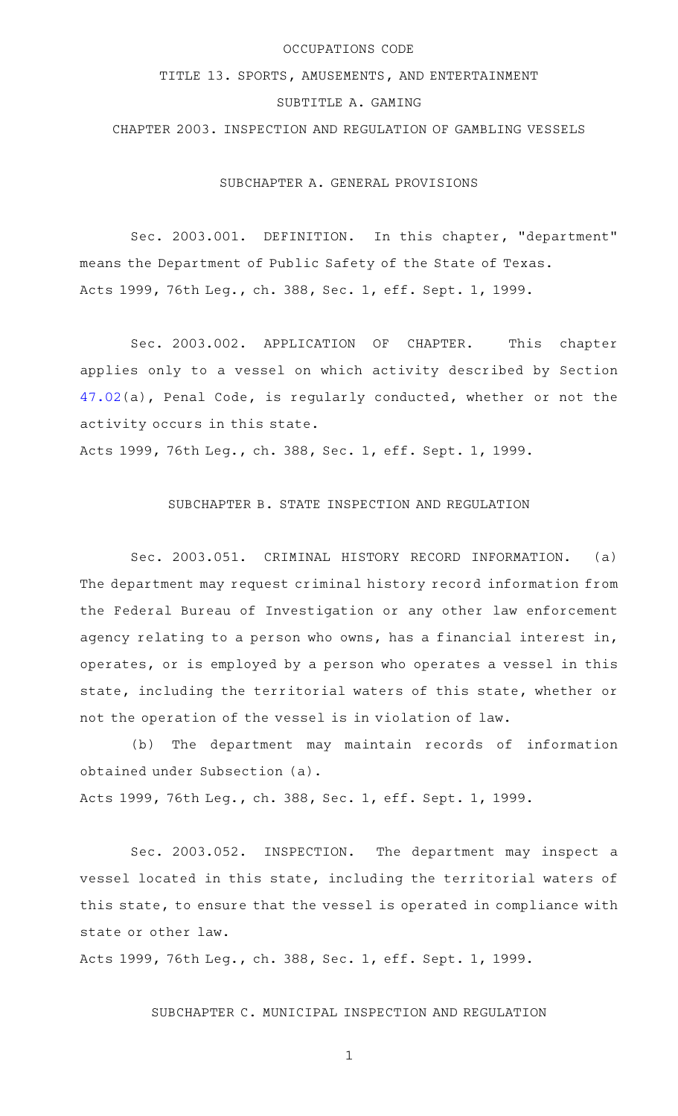### OCCUPATIONS CODE

## TITLE 13. SPORTS, AMUSEMENTS, AND ENTERTAINMENT

# SUBTITLE A. GAMING

CHAPTER 2003. INSPECTION AND REGULATION OF GAMBLING VESSELS

SUBCHAPTER A. GENERAL PROVISIONS

Sec. 2003.001. DEFINITION. In this chapter, "department" means the Department of Public Safety of the State of Texas. Acts 1999, 76th Leg., ch. 388, Sec. 1, eff. Sept. 1, 1999.

Sec. 2003.002. APPLICATION OF CHAPTER. This chapter applies only to a vessel on which activity described by Section [47.02\(](http://www.statutes.legis.state.tx.us/GetStatute.aspx?Code=PE&Value=47.02)a), Penal Code, is regularly conducted, whether or not the activity occurs in this state.

Acts 1999, 76th Leg., ch. 388, Sec. 1, eff. Sept. 1, 1999.

## SUBCHAPTER B. STATE INSPECTION AND REGULATION

Sec. 2003.051. CRIMINAL HISTORY RECORD INFORMATION. (a) The department may request criminal history record information from the Federal Bureau of Investigation or any other law enforcement agency relating to a person who owns, has a financial interest in, operates, or is employed by a person who operates a vessel in this state, including the territorial waters of this state, whether or not the operation of the vessel is in violation of law.

(b) The department may maintain records of information obtained under Subsection (a). Acts 1999, 76th Leg., ch. 388, Sec. 1, eff. Sept. 1, 1999.

Sec. 2003.052. INSPECTION. The department may inspect a vessel located in this state, including the territorial waters of this state, to ensure that the vessel is operated in compliance with state or other law.

Acts 1999, 76th Leg., ch. 388, Sec. 1, eff. Sept. 1, 1999.

## SUBCHAPTER C. MUNICIPAL INSPECTION AND REGULATION

1